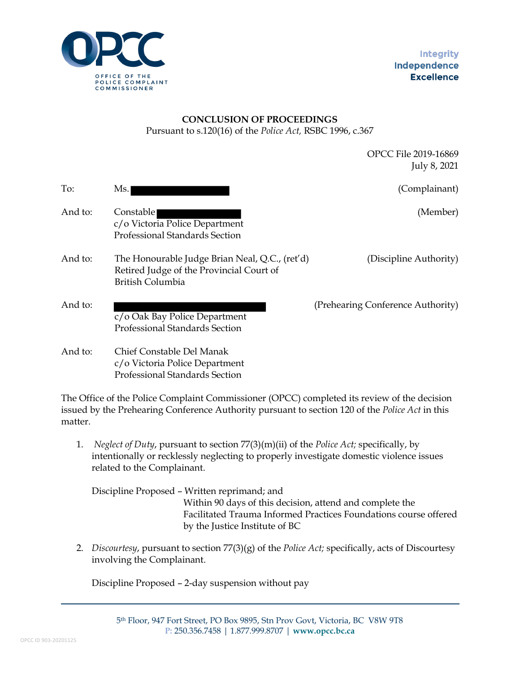

## **CONCLUSION OF PROCEEDINGS** Pursuant to s.120(16) of the *Police Act,* RSBC 1996, c.367

OPCC File 2019-16869 July 8, 2021

| To:     | Ms.                                                                                                            | (Complainant)                     |
|---------|----------------------------------------------------------------------------------------------------------------|-----------------------------------|
| And to: | Constable<br>c/o Victoria Police Department<br><b>Professional Standards Section</b>                           | (Member)                          |
| And to: | The Honourable Judge Brian Neal, Q.C., (ret'd)<br>Retired Judge of the Provincial Court of<br>British Columbia | (Discipline Authority)            |
| And to: | c/o Oak Bay Police Department<br>Professional Standards Section                                                | (Prehearing Conference Authority) |
| And to: | Chief Constable Del Manak<br>c/o Victoria Police Department<br>Professional Standards Section                  |                                   |

The Office of the Police Complaint Commissioner (OPCC) completed its review of the decision issued by the Prehearing Conference Authority pursuant to section 120 of the *Police Act* in this matter.

1. *Neglect of Duty*, pursuant to section 77(3)(m)(ii) of the *Police Act;* specifically, by intentionally or recklessly neglecting to properly investigate domestic violence issues related to the Complainant.

Discipline Proposed – Written reprimand; and Within 90 days of this decision, attend and complete the Facilitated Trauma Informed Practices Foundations course offered by the Justice Institute of BC

2. *Discourtesy*, pursuant to section 77(3)(g) of the *Police Act;* specifically, acts of Discourtesy involving the Complainant.

Discipline Proposed – 2-day suspension without pay